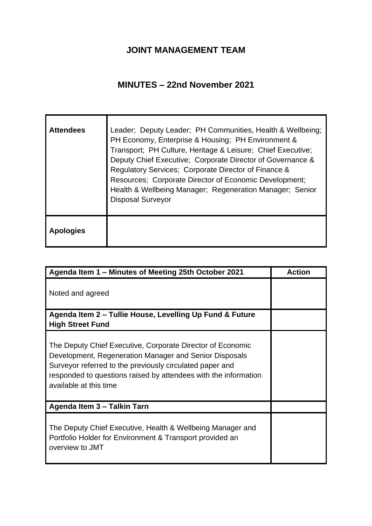## **JOINT MANAGEMENT TEAM**

## **MINUTES – 22nd November 2021**

| <b>Attendees</b> | Leader; Deputy Leader; PH Communities, Health & Wellbeing;<br>PH Economy, Enterprise & Housing; PH Environment &<br>Transport; PH Culture, Heritage & Leisure; Chief Executive;<br>Deputy Chief Executive; Corporate Director of Governance &<br>Regulatory Services; Corporate Director of Finance &<br>Resources; Corporate Director of Economic Development;<br>Health & Wellbeing Manager; Regeneration Manager; Senior<br><b>Disposal Surveyor</b> |
|------------------|---------------------------------------------------------------------------------------------------------------------------------------------------------------------------------------------------------------------------------------------------------------------------------------------------------------------------------------------------------------------------------------------------------------------------------------------------------|
| <b>Apologies</b> |                                                                                                                                                                                                                                                                                                                                                                                                                                                         |

| Agenda Item 1 - Minutes of Meeting 25th October 2021                                                                                                                                                                                                                          | <b>Action</b> |
|-------------------------------------------------------------------------------------------------------------------------------------------------------------------------------------------------------------------------------------------------------------------------------|---------------|
| Noted and agreed                                                                                                                                                                                                                                                              |               |
| Agenda Item 2 – Tullie House, Levelling Up Fund & Future<br><b>High Street Fund</b>                                                                                                                                                                                           |               |
| The Deputy Chief Executive, Corporate Director of Economic<br>Development, Regeneration Manager and Senior Disposals<br>Surveyor referred to the previously circulated paper and<br>responded to questions raised by attendees with the information<br>available at this time |               |
| Agenda Item 3 - Talkin Tarn                                                                                                                                                                                                                                                   |               |
| The Deputy Chief Executive, Health & Wellbeing Manager and<br>Portfolio Holder for Environment & Transport provided an<br>overview to JMT                                                                                                                                     |               |